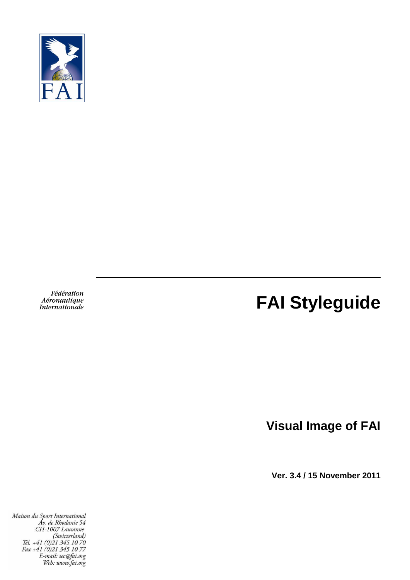

Fédération Aéronautique Internationale

# **FAI Styleguide**

**Visual Image of FAI**

**Ver. 3.4 / 15 November 2011**

Maison du Sport International uson au Sport International<br>Av. de Rhodanie 54<br>CH-1007 Lausanne<br>(Switzerland)<br>Tél. +41 (0)21 345 10 70<br>Fax +41 (0)21 345 10 77<br>E-mail: sec@di.org<br>Web: unun fai org Web: www.fai.org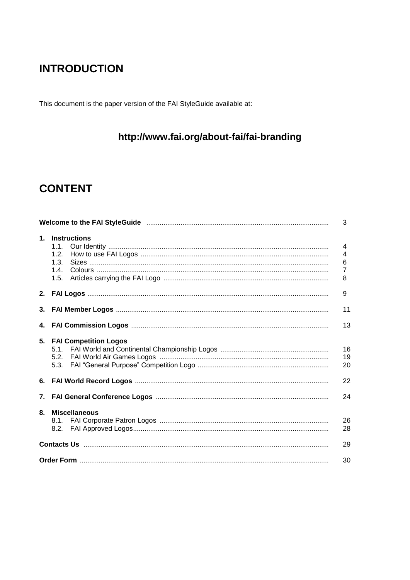# **INTRODUCTION**

This document is the paper version of the FAI StyleGuide available at:

# http://www.fai.org/about-fai/fai-branding

# **CONTENT**

|    |                                                         | 3                                  |
|----|---------------------------------------------------------|------------------------------------|
|    | 1. Instructions<br>1.1.<br>1.2.<br>1.3.<br>1.4.<br>1.5. | 4<br>4<br>6<br>$\overline{7}$<br>8 |
|    |                                                         | 9                                  |
|    |                                                         | 11                                 |
|    |                                                         | 13                                 |
|    | 5. FAI Competition Logos<br>5.3.                        | 16<br>19<br>20                     |
|    |                                                         | 22                                 |
|    |                                                         | 24                                 |
| 8. | <b>Miscellaneous</b><br>8.1.                            | 26<br>28                           |
|    |                                                         | 29                                 |
|    |                                                         | 30                                 |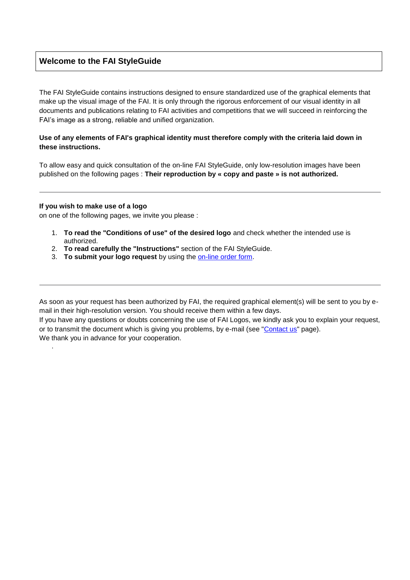# **Welcome to the FAI StyleGuide**

The FAI StyleGuide contains instructions designed to ensure standardized use of the graphical elements that make up the visual image of the FAI. It is only through the rigorous enforcement of our visual identity in all documents and publications relating to FAI activities and competitions that we will succeed in reinforcing the FAI's image as a strong, reliable and unified organization.

#### **Use of any elements of FAI's graphical identity must therefore comply with the criteria laid down in these instructions.**

To allow easy and quick consultation of the on-line FAI StyleGuide, only low-resolution images have been published on the following pages : **Their reproduction by « copy and paste » is not authorized.**

#### **If you wish to make use of a logo**

.

on one of the following pages, we invite you please :

- 1. **To read the "Conditions of use" of the desired logo** and check whether the intended use is authorized.
- 2. **To read carefully the "Instructions"** section of the FAI StyleGuide.
- 3. **To submit your logo request** by using the [on-line order form.](http://www.fai.org/about-fai/fai-branding/57-fai/34923-order-form-for-fai-logos)

As soon as your request has been authorized by FAI, the required graphical element(s) will be sent to you by email in their high-resolution version. You should receive them within a few days.

If you have any questions or doubts concerning the use of FAI Logos, we kindly ask you to explain your request, or to transmit the document which is giving you problems, by e-mail (see ["Contact us"](http://www.fai.org/contact-us) page). We thank you in advance for your cooperation.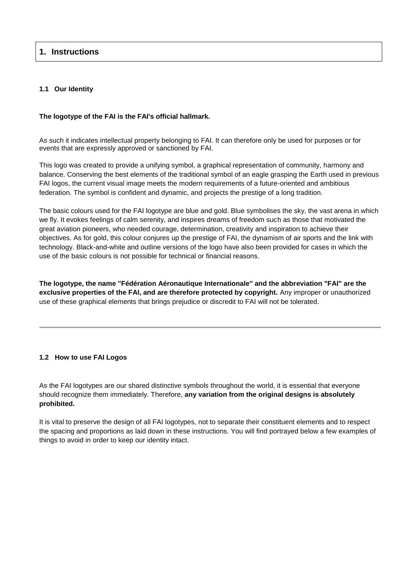# **1. Instructions**

#### **1.1 Our Identity**

### **The logotype of the FAI is the FAI's official hallmark.**

As such it indicates intellectual property belonging to FAI. It can therefore only be used for purposes or for events that are expressly approved or sanctioned by FAI.

This logo was created to provide a unifying symbol, a graphical representation of community, harmony and balance. Conserving the best elements of the traditional symbol of an eagle grasping the Earth used in previous FAI logos, the current visual image meets the modern requirements of a future-oriented and ambitious federation. The symbol is confident and dynamic, and projects the prestige of a long tradition.

The basic colours used for the FAI logotype are blue and gold. Blue symbolises the sky, the vast arena in which we fly. It evokes feelings of calm serenity, and inspires dreams of freedom such as those that motivated the great aviation pioneers, who needed courage, determination, creativity and inspiration to achieve their objectives. As for gold, this colour conjures up the prestige of FAI, the dynamism of air sports and the link with technology. Black-and-white and outline versions of the logo have also been provided for cases in which the use of the basic colours is not possible for technical or financial reasons.

**The logotype, the name "Fédération Aéronautique Internationale" and the abbreviation "FAI" are the exclusive properties of the FAI, and are therefore protected by copyright.** Any improper or unauthorized use of these graphical elements that brings prejudice or discredit to FAI will not be tolerated.

# **1.2 How to use FAI Logos**

As the FAI logotypes are our shared distinctive symbols throughout the world, it is essential that everyone should recognize them immediately. Therefore, **any variation from the original designs is absolutely prohibited.**

It is vital to preserve the design of all FAI logotypes, not to separate their constituent elements and to respect the spacing and proportions as laid down in these instructions. You will find portrayed below a few examples of things to avoid in order to keep our identity intact.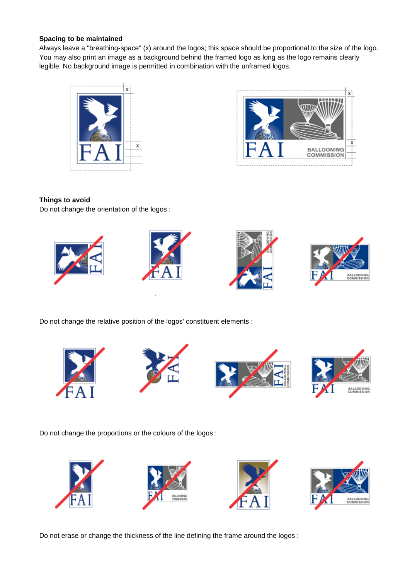#### **Spacing to be maintained**

Always leave a "breathing-space" (x) around the logos; this space should be proportional to the size of the logo. You may also print an image as a background behind the framed logo as long as the logo remains clearly legible. No background image is permitted in combination with the unframed logos.





# **Things to avoid**

Do not change the orientation of the logos :



Do not change the relative position of the logos' constituent elements :



Do not change the proportions or the colours of the logos :



Do not erase or change the thickness of the line defining the frame around the logos :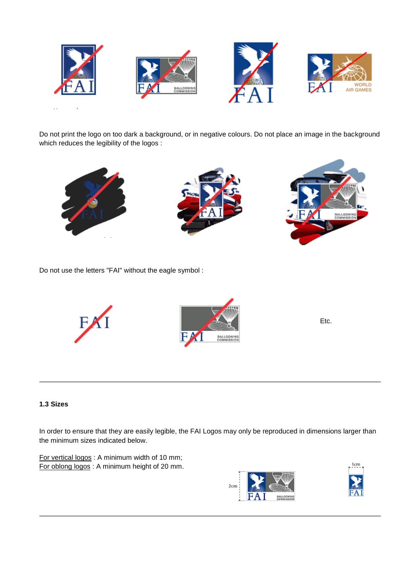

Do not print the logo on too dark a background, or in negative colours. Do not place an image in the background which reduces the legibility of the logos :



Do not use the letters "FAI" without the eagle symbol :



Etc.

# **1.3 Sizes**

In order to ensure that they are easily legible, the FAI Logos may only be reproduced in dimensions larger than the minimum sizes indicated below.

For vertical logos : A minimum width of 10 mm; For oblong logos : A minimum height of 20 mm.

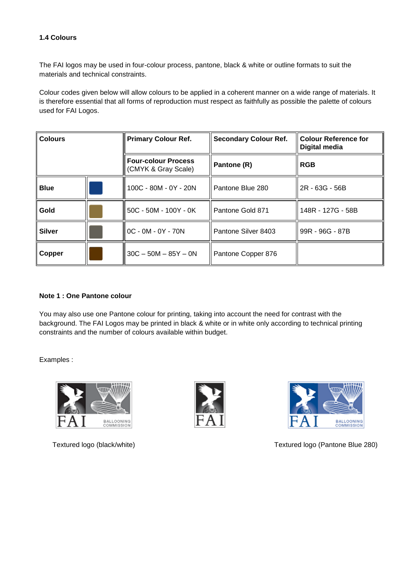# **1.4 Colours**

The FAI logos may be used in four-colour process, pantone, black & white or outline formats to suit the materials and technical constraints.

Colour codes given below will allow colours to be applied in a coherent manner on a wide range of materials. It is therefore essential that all forms of reproduction must respect as faithfully as possible the palette of colours used for FAI Logos.

| <b>Colours</b> |  | <b>Primary Colour Ref.</b>                        | <b>Secondary Colour Ref.</b> | <b>Colour Reference for</b><br>Digital media |
|----------------|--|---------------------------------------------------|------------------------------|----------------------------------------------|
|                |  | <b>Four-colour Process</b><br>(CMYK & Gray Scale) | Pantone (R)                  | <b>RGB</b>                                   |
| <b>Blue</b>    |  | 100C - 80M - 0Y - 20N                             | Pantone Blue 280             | 2R - 63G - 56B                               |
| Gold           |  | 50C - 50M - 100Y - 0K                             | Pantone Gold 871             | 148R - 127G - 58B                            |
| <b>Silver</b>  |  | $OC - OM - OY - 70N$                              | Pantone Silver 8403          | 99R - 96G - 87B                              |
| Copper         |  | $30C - 50M - 85Y - 0N$                            | Pantone Copper 876           |                                              |

#### **Note 1 : One Pantone colour**

You may also use one Pantone colour for printing, taking into account the need for contrast with the background. The FAI Logos may be printed in black & white or in white only according to technical printing constraints and the number of colours available within budget.

Examples :







Textured logo (black/white) Textured logo (Pantone Blue 280)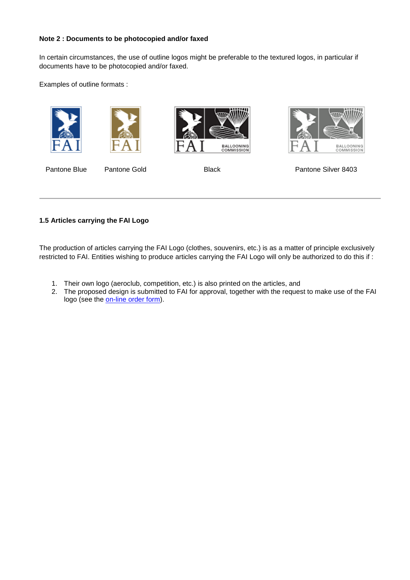#### **Note 2 : Documents to be photocopied and/or faxed**

In certain circumstances, the use of outline logos might be preferable to the textured logos, in particular if documents have to be photocopied and/or faxed.

Examples of outline formats :











Pantone Blue Pantone Gold Black Black Pantone Silver 8403

### **1.5 Articles carrying the FAI Logo**

The production of articles carrying the FAI Logo (clothes, souvenirs, etc.) is as a matter of principle exclusively restricted to FAI. Entities wishing to produce articles carrying the FAI Logo will only be authorized to do this if :

- 1. Their own logo (aeroclub, competition, etc.) is also printed on the articles, and
- 2. The proposed design is submitted to FAI for approval, together with the request to make use of the FAI logo (see the [on-line order form\)](http://www.fai.org/about-fai/fai-branding/57-fai/34923-order-form-for-fai-logos).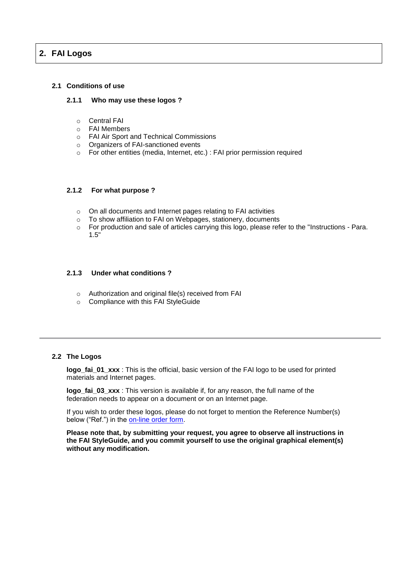# **2. FAI Logos**

#### **2.1 Conditions of use**

#### **2.1.1 Who may use these logos ?**

- o Central FAI
- o FAI Members
- o FAI Air Sport and Technical Commissions
- o Organizers of FAI-sanctioned events
- o For other entities (media, Internet, etc.) : FAI prior permission required

#### **2.1.2 For what purpose ?**

- o On all documents and Internet pages relating to FAI activities
- o To show affiliation to FAI on Webpages, stationery, documents
- $\circ$  For production and sale of articles carrying this logo, please refer to the "Instructions Para. 1.5"

#### **2.1.3 Under what conditions ?**

- o Authorization and original file(s) received from FAI
- o Compliance with this FAI StyleGuide

#### **2.2 The Logos**

**logo\_fai\_01\_xxx** : This is the official, basic version of the FAI logo to be used for printed materials and Internet pages.

**logo** fai 03 xxx : This version is available if, for any reason, the full name of the federation needs to appear on a document or on an Internet page.

If you wish to order these logos, please do not forget to mention the Reference Number(s) below ("Ref.") in the [on-line order form.](http://www.fai.org/about-fai/fai-branding/57-fai/34923-order-form-for-fai-logos)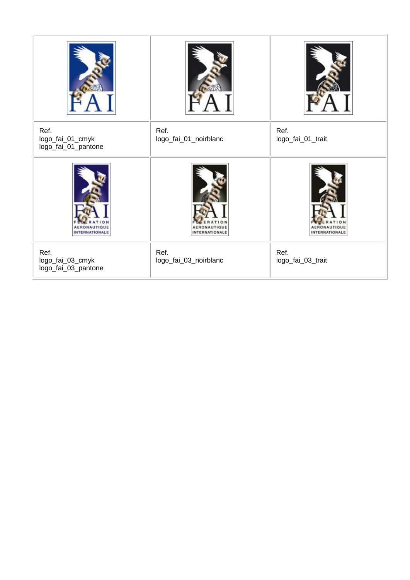| Ref.<br>logo_fai_01_cmyk<br>logo_fai_01_pantone | Ref.<br>logo_fai_01_noirblanc | Ref.<br>logo_fai_01_trait |
|-------------------------------------------------|-------------------------------|---------------------------|
| AER<br><b>INTERNATIONALE</b>                    | <b>INTERNATIONALE</b>         | <b>INTERNATIONAL</b>      |
| Ref.<br>logo_fai_03_cmyk<br>logo_fai_03_pantone | Ref.<br>logo_fai_03_noirblanc | Ref.<br>logo_fai_03_trait |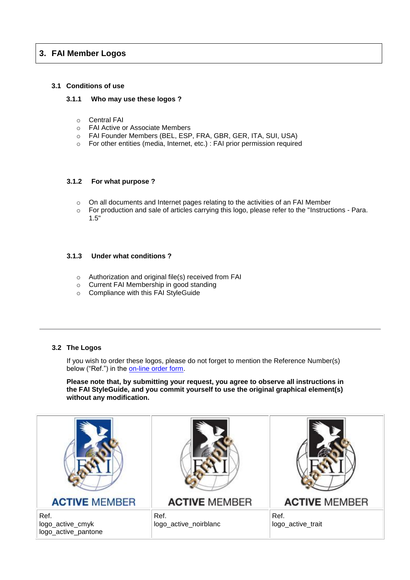# **3. FAI Member Logos**

#### **3.1 Conditions of use**

#### **3.1.1 Who may use these logos ?**

- o Central FAI
- o FAI Active or Associate Members
- o FAI Founder Members (BEL, ESP, FRA, GBR, GER, ITA, SUI, USA)
- o For other entities (media, Internet, etc.) : FAI prior permission required

#### **3.1.2 For what purpose ?**

- o On all documents and Internet pages relating to the activities of an FAI Member
- $\circ$  For production and sale of articles carrying this logo, please refer to the "Instructions Para. 1.5"

#### **3.1.3 Under what conditions ?**

- o Authorization and original file(s) received from FAI
- o Current FAI Membership in good standing
- o Compliance with this FAI StyleGuide

#### **3.2 The Logos**

If you wish to order these logos, please do not forget to mention the Reference Number(s) below ("Ref.") in the [on-line order form.](http://www.fai.org/about-fai/fai-branding/57-fai/34923-order-form-for-fai-logos)

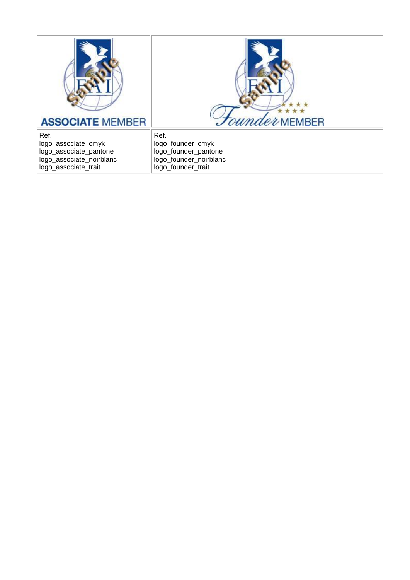



Ref. logo\_associate\_cmyk logo\_associate\_pantone logo\_associate\_noirblanc logo\_associate\_trait

Ref. logo\_founder\_cmyk logo\_founder\_pantone logo\_founder\_noirblanc logo\_founder\_trait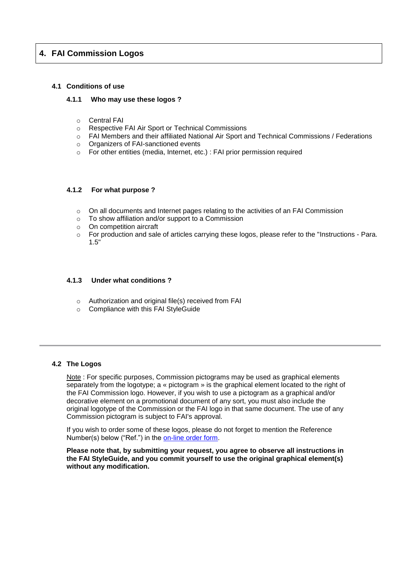# **4. FAI Commission Logos**

#### **4.1 Conditions of use**

#### **4.1.1 Who may use these logos ?**

- o Central FAI
- o Respective FAI Air Sport or Technical Commissions
- o FAI Members and their affiliated National Air Sport and Technical Commissions / Federations
- o Organizers of FAI-sanctioned events
- o For other entities (media, Internet, etc.) : FAI prior permission required

#### **4.1.2 For what purpose ?**

- $\circ$  On all documents and Internet pages relating to the activities of an FAI Commission
- o To show affiliation and/or support to a Commission
- o On competition aircraft
- o For production and sale of articles carrying these logos, please refer to the "Instructions Para. 1.5"

#### **4.1.3 Under what conditions ?**

- o Authorization and original file(s) received from FAI
- o Compliance with this FAI StyleGuide

#### **4.2 The Logos**

Note : For specific purposes, Commission pictograms may be used as graphical elements separately from the logotype; a « pictogram » is the graphical element located to the right of the FAI Commission logo. However, if you wish to use a pictogram as a graphical and/or decorative element on a promotional document of any sort, you must also include the original logotype of the Commission or the FAI logo in that same document. The use of any Commission pictogram is subject to FAI's approval.

If you wish to order some of these logos, please do not forget to mention the Reference Number(s) below ("Ref.") in the [on-line order form.](http://www.fai.org/about-fai/fai-branding/57-fai/34923-order-form-for-fai-logos)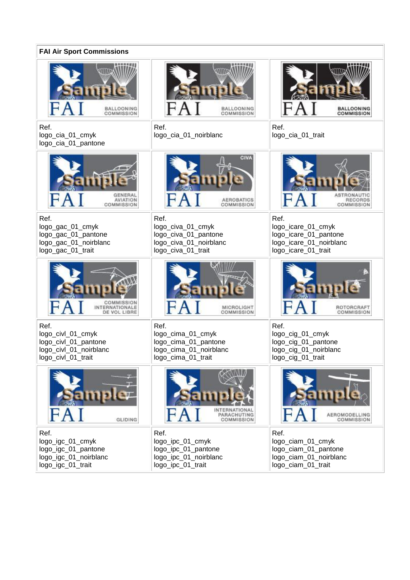| <b>FAI Air Sport Commissions</b>                                                                  |                                                                                                   |                                                                                                       |  |
|---------------------------------------------------------------------------------------------------|---------------------------------------------------------------------------------------------------|-------------------------------------------------------------------------------------------------------|--|
| <b>BALLOONING</b><br>COMMISSION                                                                   | <b>BALLOONING</b><br>COMMISSION                                                                   | <b>BALLOONING</b><br>COMMISSION                                                                       |  |
| Ref.<br>logo_cia_01_cmyk<br>logo_cia_01_pantone                                                   | Ref.<br>logo_cia_01_noirblanc                                                                     | Ref.<br>logo_cia_01_trait                                                                             |  |
| <b>AVIATION</b><br>COMMISSION                                                                     | <b>CIVA</b><br><b>AEROBATICS</b><br>COMMISSION                                                    | RECORDS<br>COMMISSION                                                                                 |  |
| Ref.<br>logo_gac_01_cmyk<br>logo_gac_01_pantone<br>logo_gac_01_noirblanc<br>logo_gac_01_trait     | Ref.<br>logo_civa_01_cmyk<br>logo_civa_01_pantone<br>logo_civa_01_noirblanc<br>logo_civa_01_trait | Ref.<br>logo_icare_01_cmyk<br>logo_icare_01_pantone<br>logo_icare_01_noirblanc<br>logo_icare_01_trait |  |
| COMMISSION<br>ERNATIONALE<br>DE VOL LIBRE                                                         | MICROLIGHT<br>COMMISSION                                                                          | ROTORCRAFT<br>COMMISSION                                                                              |  |
| Ref.<br>logo_civl_01_cmyk<br>logo_civl_01_pantone<br>logo_civl_01_noirblanc<br>logo_civl_01_trait | Ref.<br>logo_cima_01_cmyk<br>logo_cima_01_pantone<br>logo_cima_01_noirblanc<br>logo_cima_01_trait | Ref.<br>logo_cig_01_cmyk<br>logo_cig_01_pantone<br>logo_cig_01_noirblanc<br>logo_cig_01_trait         |  |
| GLIDING                                                                                           | PARACHUTING<br><b>COMMISSION</b>                                                                  | AEROMODELLING<br><b>COMMISSION</b>                                                                    |  |
| Ref.<br>logo_igc_01_cmyk<br>logo_igc_01_pantone<br>logo_igc_01_noirblanc<br>logo_igc_01_trait     | Ref.<br>logo_ipc_01_cmyk<br>logo_ipc_01_pantone<br>logo_ipc_01_noirblanc<br>logo_ipc_01_trait     | Ref.<br>logo_ciam_01_cmyk<br>logo_ciam_01_pantone<br>logo_ciam_01_noirblanc<br>logo_ciam_01_trait     |  |

ä,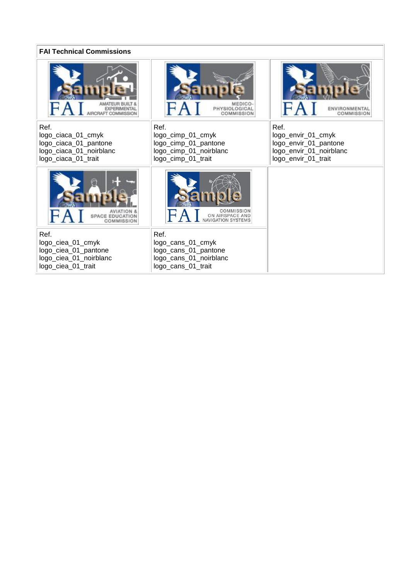| <b>FAI Technical Commissions</b>                                                                      |                                                                                                   |                                                                                                       |  |
|-------------------------------------------------------------------------------------------------------|---------------------------------------------------------------------------------------------------|-------------------------------------------------------------------------------------------------------|--|
| <b>EXPERIMENTAL</b><br>RAFT COMMISSION                                                                | MEDICO-<br>PHYSIOLOGICAL<br>COMMISSION                                                            | <b>COMMISSION</b>                                                                                     |  |
| Ref.<br>logo_ciaca_01_cmyk<br>logo_ciaca_01_pantone<br>logo_ciaca_01_noirblanc<br>logo_ciaca_01_trait | Ref.<br>logo_cimp_01_cmyk<br>logo_cimp_01_pantone<br>logo_cimp_01_noirblanc<br>logo_cimp_01_trait | Ref.<br>logo_envir_01_cmyk<br>logo_envir_01_pantone<br>logo_envir_01_noirblanc<br>logo_envir_01_trait |  |
| <b>SPACE EDUCATION</b><br>COMMISSION                                                                  | COMMISSION<br>ON AIRSPACE AND<br><b>NAVIGATION SYSTEMS</b>                                        |                                                                                                       |  |
| Ref.<br>logo_ciea_01_cmyk<br>logo_ciea_01_pantone<br>logo_ciea_01_noirblanc<br>logo_ciea_01_trait     | Ref.<br>logo_cans_01_cmyk<br>logo_cans_01_pantone<br>logo_cans_01_noirblanc<br>logo_cans_01_trait |                                                                                                       |  |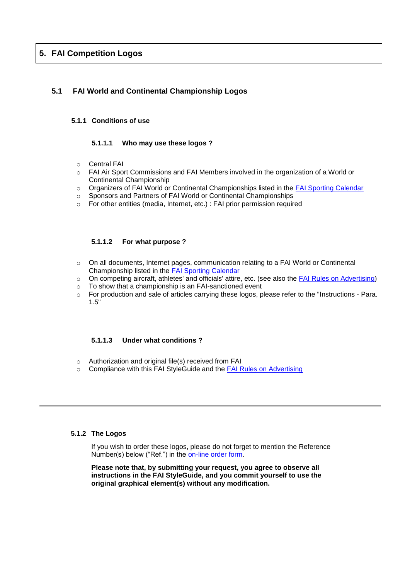# **5. FAI Competition Logos**

# **5.1 FAI World and Continental Championship Logos**

#### **5.1.1 Conditions of use**

#### **5.1.1.1 Who may use these logos ?**

- o Central FAI
- o FAI Air Sport Commissions and FAI Members involved in the organization of a World or Continental Championship
- o Organizers of FAI World or Continental Championships listed in the [FAI Sporting Calendar](http://www.fai.org/events/events-calendar-and-results)
- o Sponsors and Partners of FAI World or Continental Championships
- o For other entities (media, Internet, etc.) : FAI prior permission required

#### **5.1.1.2 For what purpose ?**

- $\circ$  On all documents, Internet pages, communication relating to a FAI World or Continental Championship listed in the [FAI Sporting Calendar](http://www.fai.org/events/events-calendar-and-results)
- o On competing aircraft, athletes' and officials' attire, etc. (see also the [FAI Rules on Advertising\)](http://www.fai.org/events/fai-organising-events)
- o To show that a championship is an FAI-sanctioned event
- o For production and sale of articles carrying these logos, please refer to the "Instructions Para. 1.5"

#### **5.1.1.3 Under what conditions ?**

- o Authorization and original file(s) received from FAI
- o Compliance with this FAI StyleGuide and the [FAI Rules on Advertising](http://www.fai.org/events/fai-organising-events)

#### **5.1.2 The Logos**

If you wish to order these logos, please do not forget to mention the Reference Number(s) below ("Ref.") in the [on-line order form.](http://www.fai.org/about-fai/fai-branding/57-fai/34923-order-form-for-fai-logos)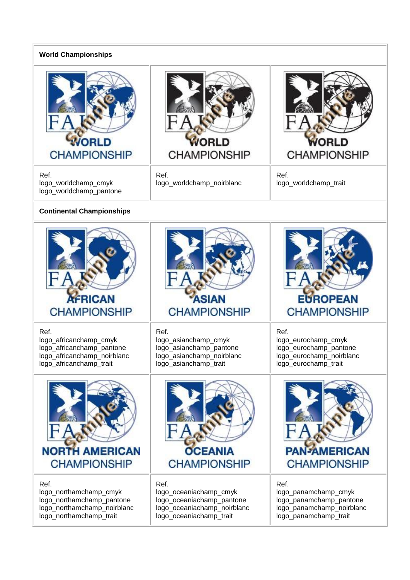# **World Championships**



Ref. logo\_worldchamp\_cmyk logo\_worldchamp\_pantone



Ref. logo\_worldchamp\_noirblanc



Ref. logo\_worldchamp\_trait

# **Continental Championships**

| <b>AFRICAN</b>              | ASIAN                       | <b>EUROPEAN</b>           |
|-----------------------------|-----------------------------|---------------------------|
| <b>CHAMPIONSHIP</b>         | <b>CHAMPIONSHIP</b>         | <b>CHAMPIONSHIP</b>       |
| Ref.                        | Ref.                        | Ref.                      |
| logo_africanchamp_cmyk      | logo_asianchamp_cmyk        | logo_eurochamp_cmyk       |
| logo_africanchamp_pantone   | logo_asianchamp_pantone     | logo_eurochamp_pantone    |
| logo_africanchamp_noirblanc | logo_asianchamp_noirblanc   | logo_eurochamp_noirblanc  |
| logo_africanchamp_trait     | logo_asianchamp_trait       | logo_eurochamp_trait      |
| <b>NORTH AMERICAN</b>       | <b>OCEANIA</b>              | <b>PAN-AMERICAN</b>       |
| <b>CHAMPIONSHIP</b>         | <b>CHAMPIONSHIP</b>         | <b>CHAMPIONSHIP</b>       |
| Ref.                        | Ref.                        | Ref.                      |
| logo_northamchamp_cmyk      | logo_oceaniachamp_cmyk      | logo_panamchamp_cmyk      |
| logo_northamchamp_pantone   | logo_oceaniachamp_pantone   | logo_panamchamp_pantone   |
| logo_northamchamp_noirblanc | logo_oceaniachamp_noirblanc | logo_panamchamp_noirblanc |
| logo_northamchamp_trait     | logo_oceaniachamp_trait     | logo_panamchamp_trait     |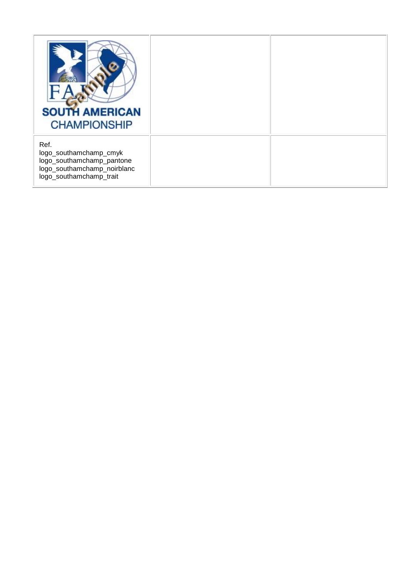| <b>SOUTH AMERICAN</b><br><b>CHAMPIONSHIP</b>                                                                          |  |
|-----------------------------------------------------------------------------------------------------------------------|--|
| Ref.<br>logo_southamchamp_cmyk<br>logo_southamchamp_pantone<br>logo_southamchamp_noirblanc<br>logo_southamchamp_trait |  |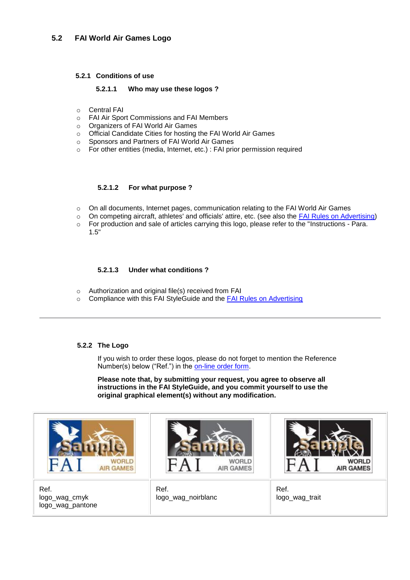#### **5.2.1 Conditions of use**

#### **5.2.1.1 Who may use these logos ?**

- o Central FAI
- o FAI Air Sport Commissions and FAI Members
- o Organizers of FAI World Air Games
- o Official Candidate Cities for hosting the FAI World Air Games
- o Sponsors and Partners of FAI World Air Games
- o For other entities (media, Internet, etc.) : FAI prior permission required

#### **5.2.1.2 For what purpose ?**

- o On all documents, Internet pages, communication relating to the FAI World Air Games
- o On competing aircraft, athletes' and officials' attire, etc. (see also the **FAI Rules on Advertising)**<br>
For production and sale of articles carrying this logo, please refer to the "Instructions Para
- For production and sale of articles carrying this logo, please refer to the "Instructions Para. 1.5"

#### **5.2.1.3 Under what conditions ?**

- o Authorization and original file(s) received from FAI
- o Compliance with this FAI StyleGuide and the [FAI Rules on Advertising](http://www.fai.org/events/fai-organising-events)

#### **5.2.2 The Logo**

If you wish to order these logos, please do not forget to mention the Reference Number(s) below ("Ref.") in the [on-line order form.](http://www.fai.org/about-fai/fai-branding/57-fai/34923-order-form-for-fai-logos)

**Please note that, by submitting your request, you agree to observe all instructions in the FAI StyleGuide, and you commit yourself to use the original graphical element(s) without any modification.**



Ref. logo\_wag\_cmyk logo\_wag\_pantone



Ref. logo\_wag\_noirblanc



Ref. logo\_wag\_trait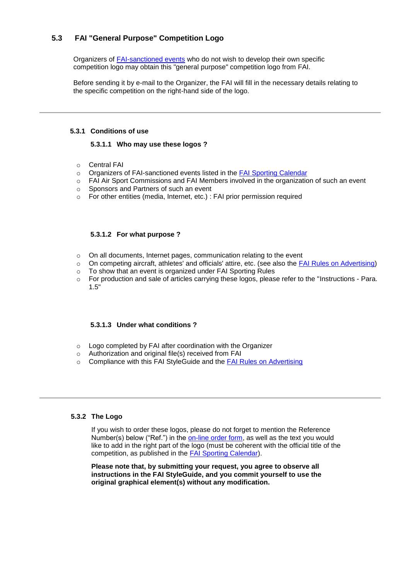# **5.3 FAI "General Purpose" Competition Logo**

Organizers of [FAI-sanctioned events](http://www.fai.org/events/events-calendar-and-results) who do not wish to develop their own specific competition logo may obtain this "general purpose" competition logo from FAI.

Before sending it by e-mail to the Organizer, the FAI will fill in the necessary details relating to the specific competition on the right-hand side of the logo.

#### **5.3.1 Conditions of use**

#### **5.3.1.1 Who may use these logos ?**

- o Central FAI
- o Organizers of FAI-sanctioned events listed in the [FAI Sporting Calendar](http://www.fai.org/events/events-calendar-and-results)
- o FAI Air Sport Commissions and FAI Members involved in the organization of such an event
- o Sponsors and Partners of such an event
- o For other entities (media, Internet, etc.) : FAI prior permission required

#### **5.3.1.2 For what purpose ?**

- o On all documents, Internet pages, communication relating to the event
- o On competing aircraft, athletes' and officials' attire, etc. (see also the [FAI Rules on Advertising\)](http://www.fai.org/events/fai-organising-events)
- o To show that an event is organized under FAI Sporting Rules
- o For production and sale of articles carrying these logos, please refer to the "Instructions Para. 1.5"

#### **5.3.1.3 Under what conditions ?**

- o Logo completed by FAI after coordination with the Organizer
- o Authorization and original file(s) received from FAI
- o Compliance with this FAI StyleGuide and the [FAI Rules on Advertising](http://www.fai.org/events/fai-organising-events)

#### **5.3.2 The Logo**

If you wish to order these logos, please do not forget to mention the Reference Number(s) below ("Ref.") in the [on-line order form,](http://www.fai.org/about-fai/fai-branding/57-fai/34923-order-form-for-fai-logos) as well as the text you would like to add in the right part of the logo (must be coherent with the official title of the competition, as published in the [FAI Sporting Calendar\)](http://www.fai.org/events/events-calendar-and-results).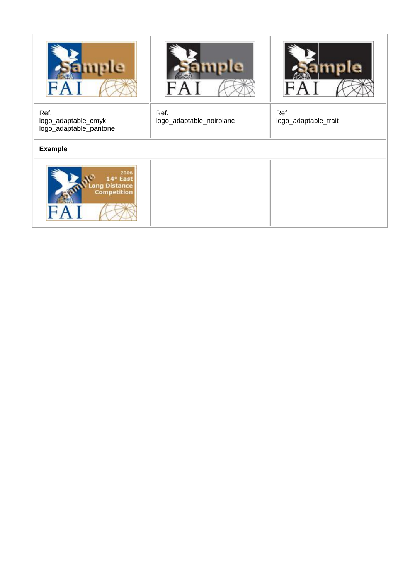





Ref. logo\_adaptable\_cmyk logo\_adaptable\_pantone

**Example**



Ref. logo\_adaptable\_noirblanc Ref. logo\_adaptable\_trait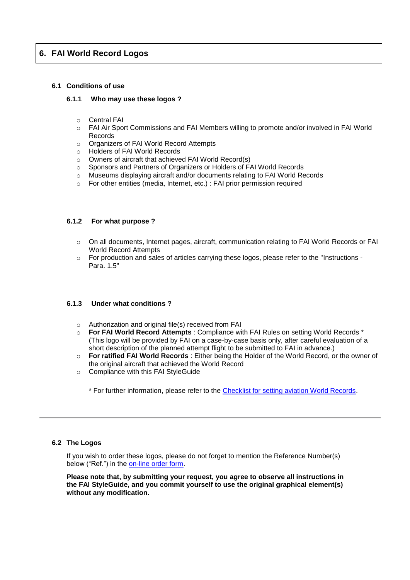# **6. FAI World Record Logos**

#### **6.1 Conditions of use**

#### **6.1.1 Who may use these logos ?**

- o Central FAI
- o FAI Air Sport Commissions and FAI Members willing to promote and/or involved in FAI World Records
- o Organizers of FAI World Record Attempts
- o Holders of FAI World Records
- o Owners of aircraft that achieved FAI World Record(s)
- o Sponsors and Partners of Organizers or Holders of FAI World Records
- o Museums displaying aircraft and/or documents relating to FAI World Records
- o For other entities (media, Internet, etc.) : FAI prior permission required

#### **6.1.2 For what purpose ?**

- o On all documents, Internet pages, aircraft, communication relating to FAI World Records or FAI World Record Attempts
- $\circ$  For production and sales of articles carrying these logos, please refer to the "Instructions -Para. 1.5"

#### **6.1.3 Under what conditions ?**

- o Authorization and original file(s) received from FAI
- o **For FAI World Record Attempts** : Compliance with FAI Rules on setting World Records \* (This logo will be provided by FAI on a case-by-case basis only, after careful evaluation of a short description of the planned attempt flight to be submitted to FAI in advance.)
- o **For ratified FAI World Records** : Either being the Holder of the World Record, or the owner of the original aircraft that achieved the World Record
- o Compliance with this FAI StyleGuide

\* For further information, please refer to the [Checklist for setting aviation World Records.](http://www.fai.org/records/how-to-set-a-record)

#### **6.2 The Logos**

If you wish to order these logos, please do not forget to mention the Reference Number(s) below ("Ref.") in the [on-line order form.](http://www.fai.org/about-fai/fai-branding/57-fai/34923-order-form-for-fai-logos)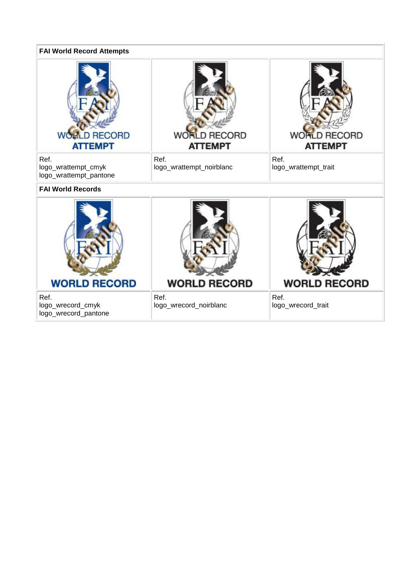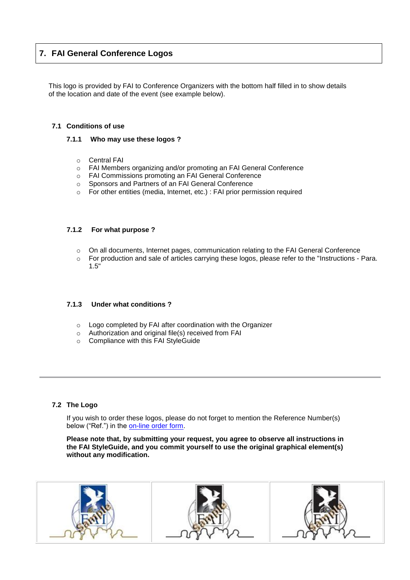# **7. FAI General Conference Logos**

This logo is provided by FAI to Conference Organizers with the bottom half filled in to show details of the location and date of the event (see example below).

#### **7.1 Conditions of use**

#### **7.1.1 Who may use these logos ?**

- o Central FAI
- o FAI Members organizing and/or promoting an FAI General Conference
- o FAI Commissions promoting an FAI General Conference
- o Sponsors and Partners of an FAI General Conference
- o For other entities (media, Internet, etc.) : FAI prior permission required

#### **7.1.2 For what purpose ?**

- o On all documents, Internet pages, communication relating to the FAI General Conference
- o For production and sale of articles carrying these logos, please refer to the "Instructions Para. 1.5"

#### **7.1.3 Under what conditions ?**

- o Logo completed by FAI after coordination with the Organizer
- o Authorization and original file(s) received from FAI
- o Compliance with this FAI StyleGuide

#### **7.2 The Logo**

If you wish to order these logos, please do not forget to mention the Reference Number(s) below ("Ref.") in the [on-line order form.](http://www.fai.org/about-fai/fai-branding/57-fai/34923-order-form-for-fai-logos)

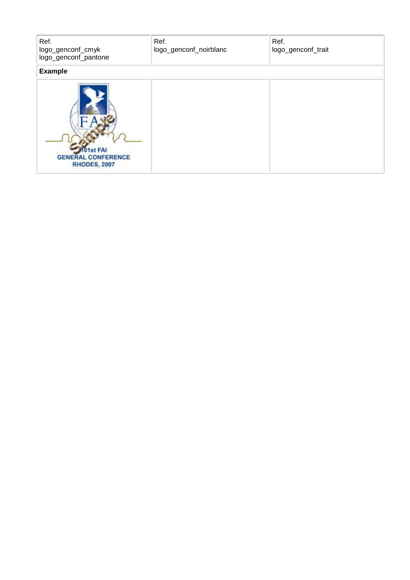| Ref.<br>logo_genconf_cmyk<br>logo_genconf_pantone           | Ref.<br>logo_genconf_noirblanc | Ref.<br>logo_genconf_trait |
|-------------------------------------------------------------|--------------------------------|----------------------------|
| <b>Example</b>                                              |                                |                            |
| 1st FAI<br><b>GENERAL CONFERENCE</b><br><b>RHODES, 2007</b> |                                |                            |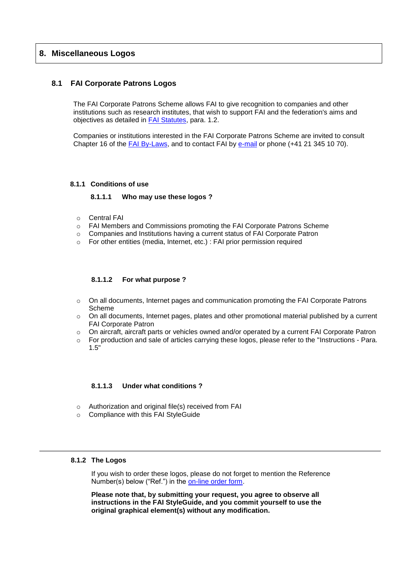# **8. Miscellaneous Logos**

#### **8.1 FAI Corporate Patrons Logos**

The FAI Corporate Patrons Scheme allows FAI to give recognition to companies and other institutions such as research institutes, that wish to support FAI and the federation's aims and objectives as detailed in [FAI Statutes,](http://www.fai.org/fai-documents) para. 1.2.

Companies or institutions interested in the FAI Corporate Patrons Scheme are invited to consult Chapter 16 of the FAI [By-Laws,](http://www.fai.org/fai-documents) and to contact FAI by [e-mail](http://www.fai.org/contact-us) or phone (+41 21 345 10 70).

#### **8.1.1 Conditions of use**

#### **8.1.1.1 Who may use these logos ?**

- o Central FAI
- o FAI Members and Commissions promoting the FAI Corporate Patrons Scheme
- $\circ$  Companies and Institutions having a current status of FAI Corporate Patron
- o For other entities (media, Internet, etc.) : FAI prior permission required

#### **8.1.1.2 For what purpose ?**

- $\circ$  On all documents, Internet pages and communication promoting the FAI Corporate Patrons Scheme
- o On all documents, Internet pages, plates and other promotional material published by a current FAI Corporate Patron
- $\circ$  On aircraft, aircraft parts or vehicles owned and/or operated by a current FAI Corporate Patron
- $\circ$  For production and sale of articles carrying these logos, please refer to the "Instructions Para. 1.5"

#### **8.1.1.3 Under what conditions ?**

- o Authorization and original file(s) received from FAI
- o Compliance with this FAI StyleGuide

#### **8.1.2 The Logos**

If you wish to order these logos, please do not forget to mention the Reference Number(s) below ("Ref.") in the [on-line order form.](http://www.fai.org/about-fai/fai-branding/57-fai/34923-order-form-for-fai-logos)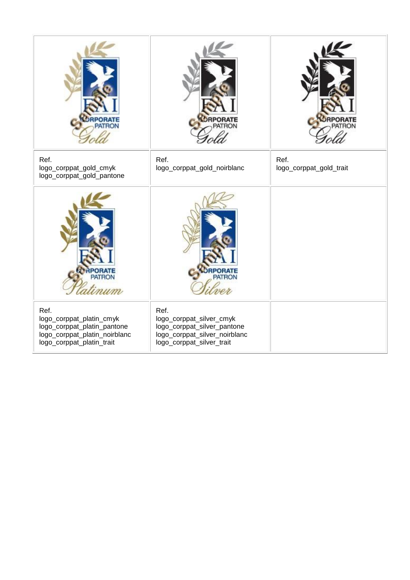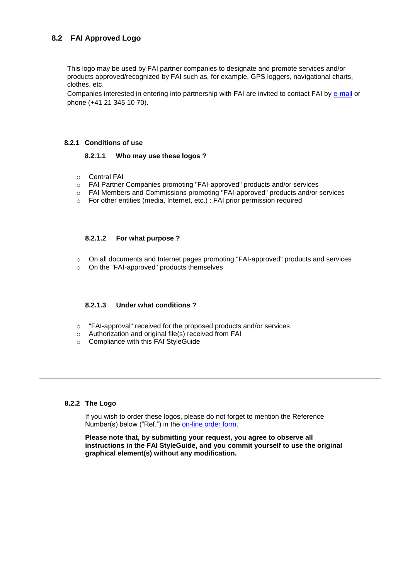# **8.2 FAI Approved Logo**

This logo may be used by FAI partner companies to designate and promote services and/or products approved/recognized by FAI such as, for example, GPS loggers, navigational charts, clothes, etc.

Companies interested in entering into partnership with FAI are invited to contact FAI by [e-mail](http://www.fai.org/contact-us) or phone (+41 21 345 10 70).

#### **8.2.1 Conditions of use**

#### **8.2.1.1 Who may use these logos ?**

- o Central FAI
- o FAI Partner Companies promoting "FAI-approved" products and/or services
- o FAI Members and Commissions promoting "FAI-approved" products and/or services
- o For other entities (media, Internet, etc.) : FAI prior permission required

#### **8.2.1.2 For what purpose ?**

- o On all documents and Internet pages promoting "FAI-approved" products and services
- o On the "FAI-approved" products themselves

#### **8.2.1.3 Under what conditions ?**

- o "FAI-approval" received for the proposed products and/or services
- o Authorization and original file(s) received from FAI
- o Compliance with this FAI StyleGuide

#### **8.2.2 The Logo**

If you wish to order these logos, please do not forget to mention the Reference Number(s) below ("Ref.") in the [on-line order form.](http://www.fai.org/about-fai/fai-branding/57-fai/34923-order-form-for-fai-logos)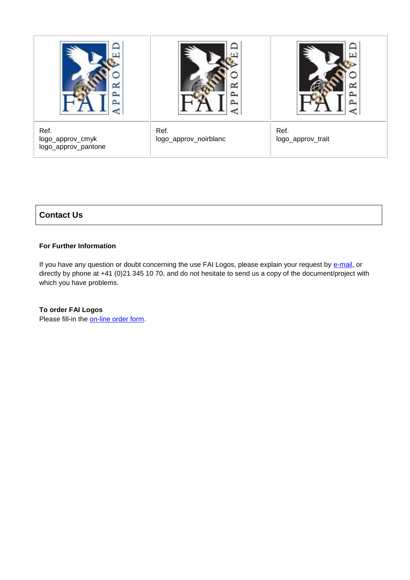

# **Contact Us**

# **For Further Information**

If you have any question or doubt concerning the use FAI Logos, please explain your request by [e-mail,](http://www.fai.org/contact-us) or directly by phone at +41 (0)21 345 10 70, and do not hesitate to send us a copy of the document/project with which you have problems.

#### **To order FAI Logos**

Please fill-in the [on-line order form.](http://www.fai.org/about-fai/fai-branding/57-fai/34923-order-form-for-fai-logos)